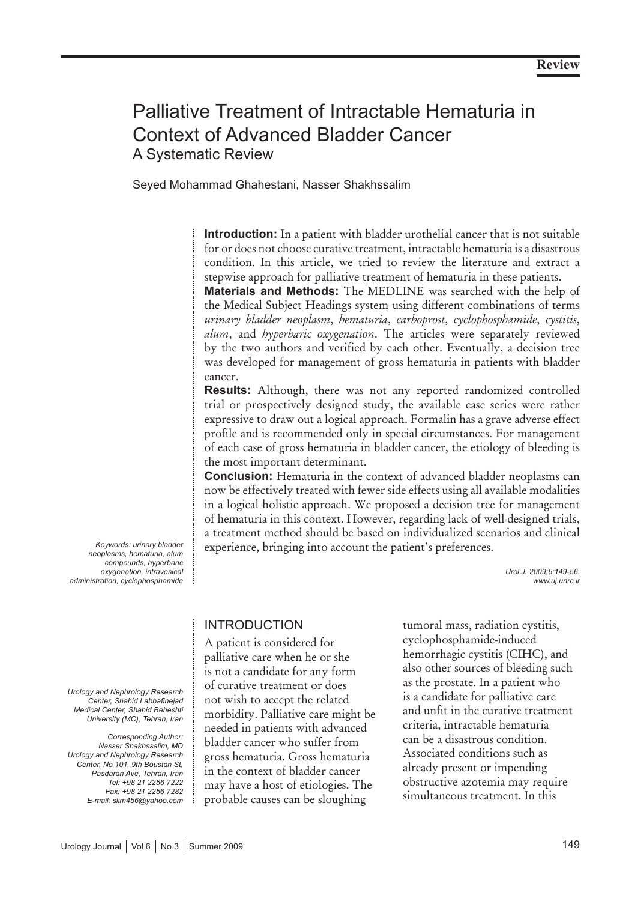# Palliative Treatment of Intractable Hematuria in Context of Advanced Bladder Cancer A Systematic Review

Seyed Mohammad Ghahestani, Nasser Shakhssalim

**Introduction:** In a patient with bladder urothelial cancer that is not suitable for or does not choose curative treatment, intractable hematuria is a disastrous condition. In this article, we tried to review the literature and extract a stepwise approach for palliative treatment of hematuria in these patients.

**Materials and Methods:** The MEDLINE was searched with the help of the Medical Subject Headings system using different combinations of terms *urinary bladder neoplasm*, *hematuria*, *carboprost*, *cyclophosphamide*, *cystitis*, *alum*, and *hyperbaric oxygenation*. The articles were separately reviewed by the two authors and verified by each other. Eventually, a decision tree was developed for management of gross hematuria in patients with bladder cancer.

**Results:** Although, there was not any reported randomized controlled trial or prospectively designed study, the available case series were rather expressive to draw out a logical approach. Formalin has a grave adverse effect profile and is recommended only in special circumstances. For management of each case of gross hematuria in bladder cancer, the etiology of bleeding is the most important determinant.

**Conclusion:** Hematuria in the context of advanced bladder neoplasms can now be effectively treated with fewer side effects using all available modalities in a logical holistic approach. We proposed a decision tree for management of hematuria in this context. However, regarding lack of well-designed trials, a treatment method should be based on individualized scenarios and clinical experience, bringing into account the patient's preferences.

> *Urol J. 2009;6:149-56. www.uj.unrc.ir*

# INTRODUCTION

A patient is considered for palliative care when he or she is not a candidate for any form of curative treatment or does not wish to accept the related morbidity. Palliative care might be needed in patients with advanced bladder cancer who suffer from gross hematuria. Gross hematuria in the context of bladder cancer may have a host of etiologies. The probable causes can be sloughing

tumoral mass, radiation cystitis, cyclophosphamide-induced hemorrhagic cystitis (CIHC), and also other sources of bleeding such as the prostate. In a patient who is a candidate for palliative care and unfit in the curative treatment criteria, intractable hematuria can be a disastrous condition. Associated conditions such as already present or impending obstructive azotemia may require simultaneous treatment. In this

*Keywords: urinary bladder neoplasms, hematuria, alum compounds, hyperbaric oxygenation, intravesical administration, cyclophosphamide*

*Urology and Nephrology Research Center, Shahid Labbafinejad Medical Center, Shahid Beheshti University (MC), Tehran, Iran*

*Corresponding Author: Nasser Shakhssalim, MD Urology and Nephrology Research Center, No 101, 9th Boustan St, Pasdaran Ave, Tehran, Iran Tel: +98 21 2256 7222 Fax: +98 21 2256 7282 E-mail: slim456@yahoo.com*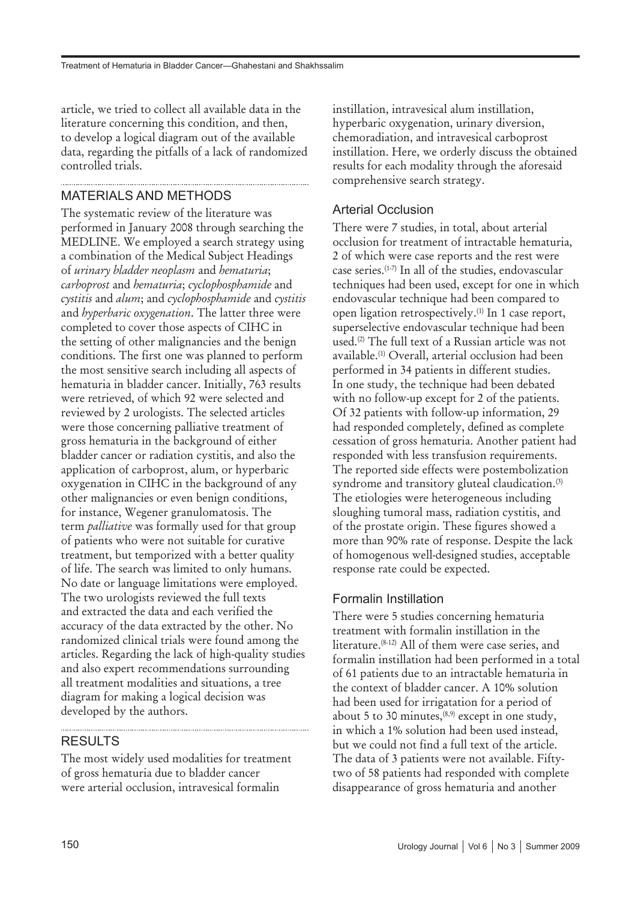article, we tried to collect all available data in the literature concerning this condition, and then, to develop a logical diagram out of the available data, regarding the pitfalls of a lack of randomized controlled trials.

## MATERIALS AND METHODS

The systematic review of the literature was performed in January 2008 through searching the MEDLINE. We employed a search strategy using a combination of the Medical Subject Headings of *urinary bladder neoplasm* and *hematuria*; *carboprost* and *hematuria*; *cyclophosphamide* and *cystitis* and *alum*; and *cyclophosphamide* and *cystitis* and *hyperbaric oxygenation*. The latter three were completed to cover those aspects of CIHC in the setting of other malignancies and the benign conditions. The first one was planned to perform the most sensitive search including all aspects of hematuria in bladder cancer. Initially, 763 results were retrieved, of which 92 were selected and reviewed by 2 urologists. The selected articles were those concerning palliative treatment of gross hematuria in the background of either bladder cancer or radiation cystitis, and also the application of carboprost, alum, or hyperbaric oxygenation in CIHC in the background of any other malignancies or even benign conditions, for instance, Wegener granulomatosis. The term *palliative* was formally used for that group of patients who were not suitable for curative treatment, but temporized with a better quality of life. The search was limited to only humans. No date or language limitations were employed. The two urologists reviewed the full texts and extracted the data and each verified the accuracy of the data extracted by the other. No randomized clinical trials were found among the articles. Regarding the lack of high-quality studies and also expert recommendations surrounding all treatment modalities and situations, a tree diagram for making a logical decision was developed by the authors.

### RESULTS

The most widely used modalities for treatment of gross hematuria due to bladder cancer were arterial occlusion, intravesical formalin

instillation, intravesical alum instillation, hyperbaric oxygenation, urinary diversion, chemoradiation, and intravesical carboprost instillation. Here, we orderly discuss the obtained results for each modality through the aforesaid comprehensive search strategy.

## Arterial Occlusion

There were 7 studies, in total, about arterial occlusion for treatment of intractable hematuria, 2 of which were case reports and the rest were case series.(1-7) In all of the studies, endovascular techniques had been used, except for one in which endovascular technique had been compared to open ligation retrospectively.(1) In 1 case report, superselective endovascular technique had been used.(2) The full text of a Russian article was not available.(1) Overall, arterial occlusion had been performed in 34 patients in different studies. In one study, the technique had been debated with no follow-up except for 2 of the patients. Of 32 patients with follow-up information, 29 had responded completely, defined as complete cessation of gross hematuria. Another patient had responded with less transfusion requirements. The reported side effects were postembolization syndrome and transitory gluteal claudication.<sup>(3)</sup> The etiologies were heterogeneous including sloughing tumoral mass, radiation cystitis, and of the prostate origin. These figures showed a more than 90% rate of response. Despite the lack of homogenous well-designed studies, acceptable response rate could be expected.

### Formalin Instillation

There were 5 studies concerning hematuria treatment with formalin instillation in the literature.(8-12) All of them were case series, and formalin instillation had been performed in a total of 61 patients due to an intractable hematuria in the context of bladder cancer. A 10% solution had been used for irrigatation for a period of about 5 to 30 minutes,  $(8,9)$  except in one study, in which a 1% solution had been used instead, but we could not find a full text of the article. The data of 3 patients were not available. Fiftytwo of 58 patients had responded with complete disappearance of gross hematuria and another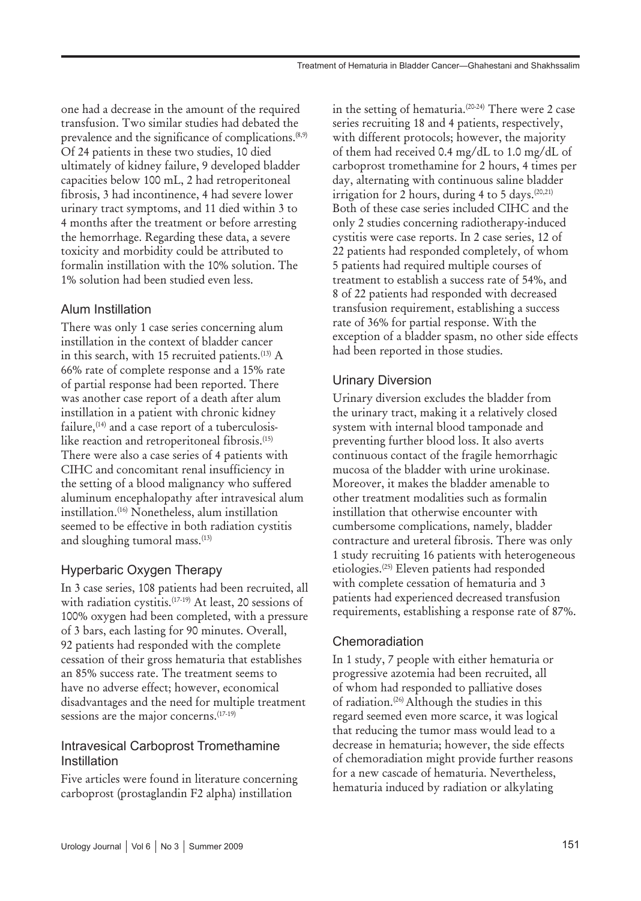one had a decrease in the amount of the required transfusion. Two similar studies had debated the prevalence and the significance of complications.<sup>(8,9)</sup> Of 24 patients in these two studies, 10 died ultimately of kidney failure, 9 developed bladder capacities below 100 mL, 2 had retroperitoneal fibrosis, 3 had incontinence, 4 had severe lower urinary tract symptoms, and 11 died within 3 to 4 months after the treatment or before arresting the hemorrhage. Regarding these data, a severe toxicity and morbidity could be attributed to formalin instillation with the 10% solution. The 1% solution had been studied even less.

### Alum Instillation

There was only 1 case series concerning alum instillation in the context of bladder cancer in this search, with 15 recruited patients.<sup>(13)</sup> A 66% rate of complete response and a 15% rate of partial response had been reported. There was another case report of a death after alum instillation in a patient with chronic kidney failure, $(14)$  and a case report of a tuberculosislike reaction and retroperitoneal fibrosis.<sup>(15)</sup> There were also a case series of 4 patients with CIHC and concomitant renal insufficiency in the setting of a blood malignancy who suffered aluminum encephalopathy after intravesical alum instillation.(16) Nonetheless, alum instillation seemed to be effective in both radiation cystitis and sloughing tumoral mass.<sup>(13)</sup>

### Hyperbaric Oxygen Therapy

In 3 case series, 108 patients had been recruited, all with radiation cystitis.<sup>(17-19)</sup> At least, 20 sessions of 100% oxygen had been completed, with a pressure of 3 bars, each lasting for 90 minutes. Overall, 92 patients had responded with the complete cessation of their gross hematuria that establishes an 85% success rate. The treatment seems to have no adverse effect; however, economical disadvantages and the need for multiple treatment sessions are the major concerns.<sup>(17-19)</sup>

#### Intravesical Carboprost Tromethamine Instillation

Five articles were found in literature concerning carboprost (prostaglandin F2 alpha) instillation

in the setting of hematuria.(20-24) There were 2 case series recruiting 18 and 4 patients, respectively, with different protocols; however, the majority of them had received 0.4 mg/dL to 1.0 mg/dL of carboprost tromethamine for 2 hours, 4 times per day, alternating with continuous saline bladder irrigation for 2 hours, during 4 to 5 days.  $(20,21)$ Both of these case series included CIHC and the only 2 studies concerning radiotherapy-induced cystitis were case reports. In 2 case series, 12 of 22 patients had responded completely, of whom 5 patients had required multiple courses of treatment to establish a success rate of 54%, and 8 of 22 patients had responded with decreased transfusion requirement, establishing a success rate of 36% for partial response. With the exception of a bladder spasm, no other side effects had been reported in those studies.

### Urinary Diversion

Urinary diversion excludes the bladder from the urinary tract, making it a relatively closed system with internal blood tamponade and preventing further blood loss. It also averts continuous contact of the fragile hemorrhagic mucosa of the bladder with urine urokinase. Moreover, it makes the bladder amenable to other treatment modalities such as formalin instillation that otherwise encounter with cumbersome complications, namely, bladder contracture and ureteral fibrosis. There was only 1 study recruiting 16 patients with heterogeneous etiologies.(25) Eleven patients had responded with complete cessation of hematuria and 3 patients had experienced decreased transfusion requirements, establishing a response rate of 87%.

### Chemoradiation

In 1 study, 7 people with either hematuria or progressive azotemia had been recruited, all of whom had responded to palliative doses of radiation.<sup>(26)</sup> Although the studies in this regard seemed even more scarce, it was logical that reducing the tumor mass would lead to a decrease in hematuria; however, the side effects of chemoradiation might provide further reasons for a new cascade of hematuria. Nevertheless, hematuria induced by radiation or alkylating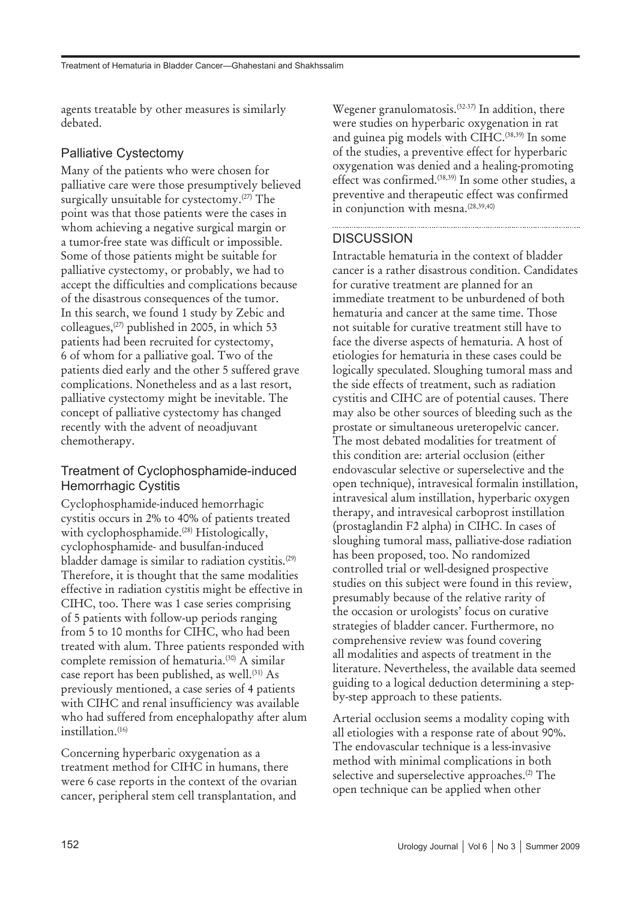agents treatable by other measures is similarly debated.

#### Palliative Cystectomy

Many of the patients who were chosen for palliative care were those presumptively believed surgically unsuitable for cystectomy.<sup>(27)</sup> The point was that those patients were the cases in whom achieving a negative surgical margin or a tumor-free state was difficult or impossible. Some of those patients might be suitable for palliative cystectomy, or probably, we had to accept the difficulties and complications because of the disastrous consequences of the tumor. In this search, we found 1 study by Zebic and colleagues,(27) published in 2005, in which 53 patients had been recruited for cystectomy, 6 of whom for a palliative goal. Two of the patients died early and the other 5 suffered grave complications. Nonetheless and as a last resort, palliative cystectomy might be inevitable. The concept of palliative cystectomy has changed recently with the advent of neoadjuvant chemotherapy.

#### Treatment of Cyclophosphamide-induced Hemorrhagic Cystitis

Cyclophosphamide-induced hemorrhagic cystitis occurs in 2% to 40% of patients treated with cyclophosphamide.<sup>(28)</sup> Histologically, cyclophosphamide- and busulfan-induced bladder damage is similar to radiation cystitis.(29) Therefore, it is thought that the same modalities effective in radiation cystitis might be effective in CIHC, too. There was 1 case series comprising of 5 patients with follow-up periods ranging from 5 to 10 months for CIHC, who had been treated with alum. Three patients responded with complete remission of hematuria.(30) A similar case report has been published, as well.<sup>(31)</sup> As previously mentioned, a case series of 4 patients with CIHC and renal insufficiency was available who had suffered from encephalopathy after alum instillation.<sup>(16)</sup>

Concerning hyperbaric oxygenation as a treatment method for CIHC in humans, there were 6 case reports in the context of the ovarian cancer, peripheral stem cell transplantation, and

Wegener granulomatosis.<sup>(32-37)</sup> In addition, there were studies on hyperbaric oxygenation in rat and guinea pig models with CIHC.<sup>(38,39)</sup> In some of the studies, a preventive effect for hyperbaric oxygenation was denied and a healing-promoting effect was confirmed.<sup>(38,39)</sup> In some other studies, a preventive and therapeutic effect was confirmed in conjunction with mesna.<sup>(28,39,40)</sup>

#### **DISCUSSION**

Intractable hematuria in the context of bladder cancer is a rather disastrous condition. Candidates for curative treatment are planned for an immediate treatment to be unburdened of both hematuria and cancer at the same time. Those not suitable for curative treatment still have to face the diverse aspects of hematuria. A host of etiologies for hematuria in these cases could be logically speculated. Sloughing tumoral mass and the side effects of treatment, such as radiation cystitis and CIHC are of potential causes. There may also be other sources of bleeding such as the prostate or simultaneous ureteropelvic cancer. The most debated modalities for treatment of this condition are: arterial occlusion (either endovascular selective or superselective and the open technique), intravesical formalin instillation, intravesical alum instillation, hyperbaric oxygen therapy, and intravesical carboprost instillation (prostaglandin F2 alpha) in CIHC. In cases of sloughing tumoral mass, palliative-dose radiation has been proposed, too. No randomized controlled trial or well-designed prospective studies on this subject were found in this review, presumably because of the relative rarity of the occasion or urologists' focus on curative strategies of bladder cancer. Furthermore, no comprehensive review was found covering all modalities and aspects of treatment in the literature. Nevertheless, the available data seemed guiding to a logical deduction determining a stepby-step approach to these patients.

Arterial occlusion seems a modality coping with all etiologies with a response rate of about 90%. The endovascular technique is a less-invasive method with minimal complications in both selective and superselective approaches.<sup>(2)</sup> The open technique can be applied when other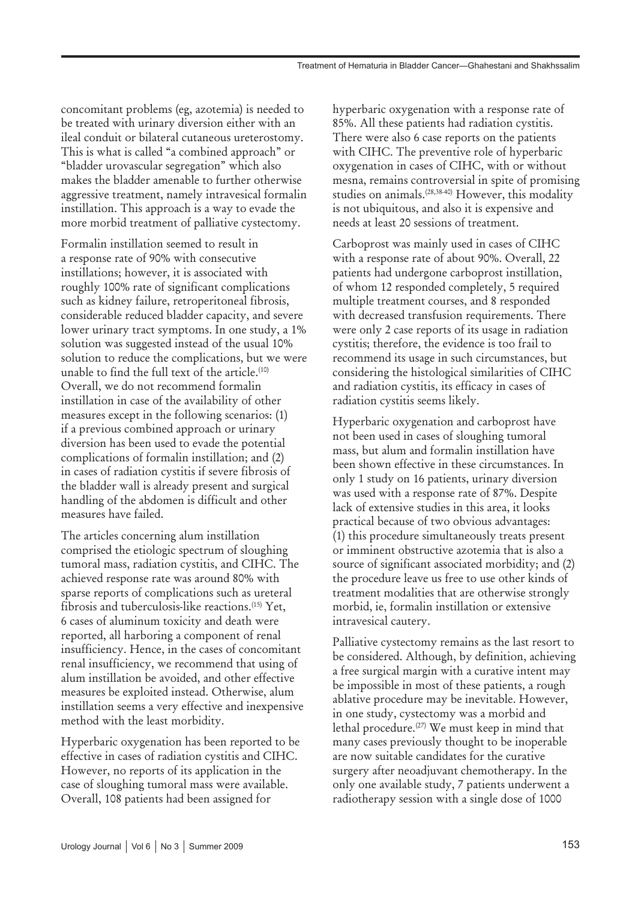concomitant problems (eg, azotemia) is needed to be treated with urinary diversion either with an ileal conduit or bilateral cutaneous ureterostomy. This is what is called "a combined approach" or "bladder urovascular segregation" which also makes the bladder amenable to further otherwise aggressive treatment, namely intravesical formalin instillation. This approach is a way to evade the more morbid treatment of palliative cystectomy.

Formalin instillation seemed to result in a response rate of 90% with consecutive instillations; however, it is associated with roughly 100% rate of significant complications such as kidney failure, retroperitoneal fibrosis, considerable reduced bladder capacity, and severe lower urinary tract symptoms. In one study, a 1% solution was suggested instead of the usual 10% solution to reduce the complications, but we were unable to find the full text of the article. $(10)$ Overall, we do not recommend formalin instillation in case of the availability of other measures except in the following scenarios: (1) if a previous combined approach or urinary diversion has been used to evade the potential complications of formalin instillation; and (2) in cases of radiation cystitis if severe fibrosis of the bladder wall is already present and surgical handling of the abdomen is difficult and other measures have failed.

The articles concerning alum instillation comprised the etiologic spectrum of sloughing tumoral mass, radiation cystitis, and CIHC. The achieved response rate was around 80% with sparse reports of complications such as ureteral fibrosis and tuberculosis-like reactions.(15) Yet, 6 cases of aluminum toxicity and death were reported, all harboring a component of renal insufficiency. Hence, in the cases of concomitant renal insufficiency, we recommend that using of alum instillation be avoided, and other effective measures be exploited instead. Otherwise, alum instillation seems a very effective and inexpensive method with the least morbidity.

Hyperbaric oxygenation has been reported to be effective in cases of radiation cystitis and CIHC. However, no reports of its application in the case of sloughing tumoral mass were available. Overall, 108 patients had been assigned for

hyperbaric oxygenation with a response rate of 85%. All these patients had radiation cystitis. There were also 6 case reports on the patients with CIHC. The preventive role of hyperbaric oxygenation in cases of CIHC, with or without mesna, remains controversial in spite of promising studies on animals.(28,38-40) However, this modality is not ubiquitous, and also it is expensive and needs at least 20 sessions of treatment.

Carboprost was mainly used in cases of CIHC with a response rate of about 90%. Overall, 22 patients had undergone carboprost instillation, of whom 12 responded completely, 5 required multiple treatment courses, and 8 responded with decreased transfusion requirements. There were only 2 case reports of its usage in radiation cystitis; therefore, the evidence is too frail to recommend its usage in such circumstances, but considering the histological similarities of CIHC and radiation cystitis, its efficacy in cases of radiation cystitis seems likely.

Hyperbaric oxygenation and carboprost have not been used in cases of sloughing tumoral mass, but alum and formalin instillation have been shown effective in these circumstances. In only 1 study on 16 patients, urinary diversion was used with a response rate of 87%. Despite lack of extensive studies in this area, it looks practical because of two obvious advantages: (1) this procedure simultaneously treats present or imminent obstructive azotemia that is also a source of significant associated morbidity; and (2) the procedure leave us free to use other kinds of treatment modalities that are otherwise strongly morbid, ie, formalin instillation or extensive intravesical cautery.

Palliative cystectomy remains as the last resort to be considered. Although, by definition, achieving a free surgical margin with a curative intent may be impossible in most of these patients, a rough ablative procedure may be inevitable. However, in one study, cystectomy was a morbid and lethal procedure.(27) We must keep in mind that many cases previously thought to be inoperable are now suitable candidates for the curative surgery after neoadjuvant chemotherapy. In the only one available study, 7 patients underwent a radiotherapy session with a single dose of 1000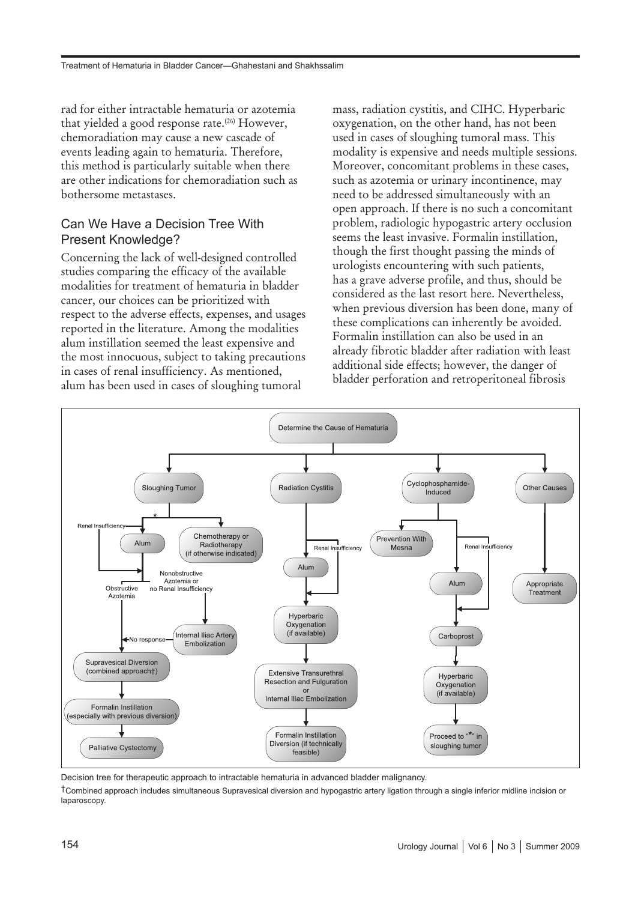rad for either intractable hematuria or azotemia that yielded a good response rate.<sup>(26)</sup> However, chemoradiation may cause a new cascade of events leading again to hematuria. Therefore, this method is particularly suitable when there are other indications for chemoradiation such as bothersome metastases.

#### Can We Have a Decision Tree With Present Knowledge?

Concerning the lack of well-designed controlled studies comparing the efficacy of the available modalities for treatment of hematuria in bladder cancer, our choices can be prioritized with respect to the adverse effects, expenses, and usages reported in the literature. Among the modalities alum instillation seemed the least expensive and the most innocuous, subject to taking precautions in cases of renal insufficiency. As mentioned, alum has been used in cases of sloughing tumoral

mass, radiation cystitis, and CIHC. Hyperbaric oxygenation, on the other hand, has not been used in cases of sloughing tumoral mass. This modality is expensive and needs multiple sessions. Moreover, concomitant problems in these cases, such as azotemia or urinary incontinence, may need to be addressed simultaneously with an open approach. If there is no such a concomitant problem, radiologic hypogastric artery occlusion seems the least invasive. Formalin instillation, though the first thought passing the minds of urologists encountering with such patients, has a grave adverse profile, and thus, should be considered as the last resort here. Nevertheless, when previous diversion has been done, many of these complications can inherently be avoided. Formalin instillation can also be used in an already fibrotic bladder after radiation with least additional side effects; however, the danger of bladder perforation and retroperitoneal fibrosis



Decision tree for therapeutic approach to intractable hematuria in advanced bladder malignancy.

†Combined approach includes simultaneous Supravesical diversion and hypogastric artery ligation through a single inferior midline incision or laparoscopy.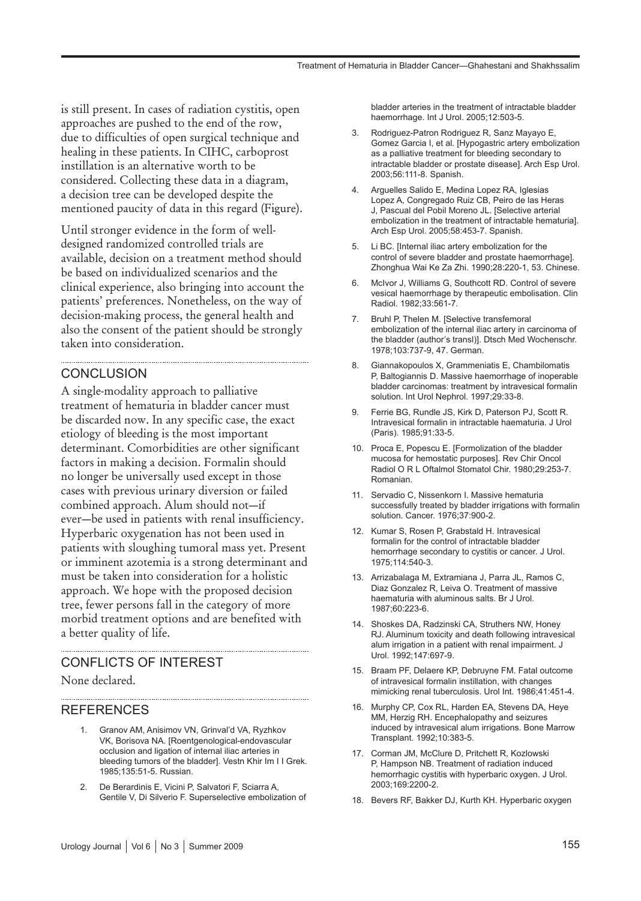is still present. In cases of radiation cystitis, open approaches are pushed to the end of the row, due to difficulties of open surgical technique and healing in these patients. In CIHC, carboprost instillation is an alternative worth to be considered. Collecting these data in a diagram, a decision tree can be developed despite the mentioned paucity of data in this regard (Figure).

Until stronger evidence in the form of welldesigned randomized controlled trials are available, decision on a treatment method should be based on individualized scenarios and the clinical experience, also bringing into account the patients' preferences. Nonetheless, on the way of decision-making process, the general health and also the consent of the patient should be strongly taken into consideration.

#### **CONCLUSION**

A single-modality approach to palliative treatment of hematuria in bladder cancer must be discarded now. In any specific case, the exact etiology of bleeding is the most important determinant. Comorbidities are other significant factors in making a decision. Formalin should no longer be universally used except in those cases with previous urinary diversion or failed combined approach. Alum should not—if ever—be used in patients with renal insufficiency. Hyperbaric oxygenation has not been used in patients with sloughing tumoral mass yet. Present or imminent azotemia is a strong determinant and must be taken into consideration for a holistic approach. We hope with the proposed decision tree, fewer persons fall in the category of more morbid treatment options and are benefited with a better quality of life.

#### CONFLICTS OF INTEREST

None declared.

#### REFERENCES

- 1. Granov AM, Anisimov VN, Grinval'd VA, Ryzhkov VK, Borisova NA. [Roentgenological-endovascular occlusion and ligation of internal iliac arteries in bleeding tumors of the bladder]. Vestn Khir Im I I Grek. 1985;135:51-5. Russian.
- 2. De Berardinis E, Vicini P, Salvatori F, Sciarra A, Gentile V, Di Silverio F. Superselective embolization of

bladder arteries in the treatment of intractable bladder haemorrhage. Int J Urol. 2005;12:503-5.

- 3. Rodriguez-Patron Rodriguez R, Sanz Mayayo E, Gomez Garcia I, et al. [Hypogastric artery embolization as a palliative treatment for bleeding secondary to intractable bladder or prostate disease]. Arch Esp Urol. 2003;56:111-8. Spanish.
- Arguelles Salido E, Medina Lopez RA, Iglesias Lopez A, Congregado Ruiz CB, Peiro de las Heras J, Pascual del Pobil Moreno JL. [Selective arterial embolization in the treatment of intractable hematuria]. Arch Esp Urol. 2005;58:453-7. Spanish.
- 5. Li BC. [Internal iliac artery embolization for the control of severe bladder and prostate haemorrhage]. Zhonghua Wai Ke Za Zhi. 1990;28:220-1, 53. Chinese.
- 6. McIvor J, Williams G, Southcott RD. Control of severe vesical haemorrhage by therapeutic embolisation. Clin Radiol. 1982;33:561-7.
- 7. Bruhl P, Thelen M. [Selective transfemoral embolization of the internal iliac artery in carcinoma of the bladder (author's transl)]. Dtsch Med Wochenschr. 1978;103:737-9, 47. German.
- 8. Giannakopoulos X, Grammeniatis E, Chambilomatis P, Baltogiannis D. Massive haemorrhage of inoperable bladder carcinomas: treatment by intravesical formalin solution. Int Urol Nephrol. 1997;29:33-8.
- 9. Ferrie BG, Rundle JS, Kirk D, Paterson PJ, Scott R. Intravesical formalin in intractable haematuria. J Urol (Paris). 1985;91:33-5.
- 10. Proca E, Popescu E. [Formolization of the bladder mucosa for hemostatic purposes]. Rev Chir Oncol Radiol O R L Oftalmol Stomatol Chir. 1980;29:253-7. Romanian.
- 11. Servadio C, Nissenkorn I. Massive hematuria successfully treated by bladder irrigations with formalin solution. Cancer. 1976;37:900-2.
- 12. Kumar S, Rosen P, Grabstald H. Intravesical formalin for the control of intractable bladder hemorrhage secondary to cystitis or cancer. J Urol. 1975;114:540-3.
- 13. Arrizabalaga M, Extramiana J, Parra JL, Ramos C, Diaz Gonzalez R, Leiva O. Treatment of massive haematuria with aluminous salts. Br J Urol. 1987;60:223-6.
- 14. Shoskes DA, Radzinski CA, Struthers NW, Honey RJ. Aluminum toxicity and death following intravesical alum irrigation in a patient with renal impairment. J Urol. 1992;147:697-9.
- 15. Braam PF, Delaere KP, Debruyne FM. Fatal outcome of intravesical formalin instillation, with changes mimicking renal tuberculosis. Urol Int. 1986;41:451-4.
- 16. Murphy CP, Cox RL, Harden EA, Stevens DA, Heye MM, Herzig RH. Encephalopathy and seizures induced by intravesical alum irrigations. Bone Marrow Transplant. 1992;10:383-5.
- 17. Corman JM, McClure D, Pritchett R, Kozlowski P, Hampson NB. Treatment of radiation induced hemorrhagic cystitis with hyperbaric oxygen. J Urol. 2003;169:2200-2.
- 18. Bevers RF, Bakker DJ, Kurth KH. Hyperbaric oxygen